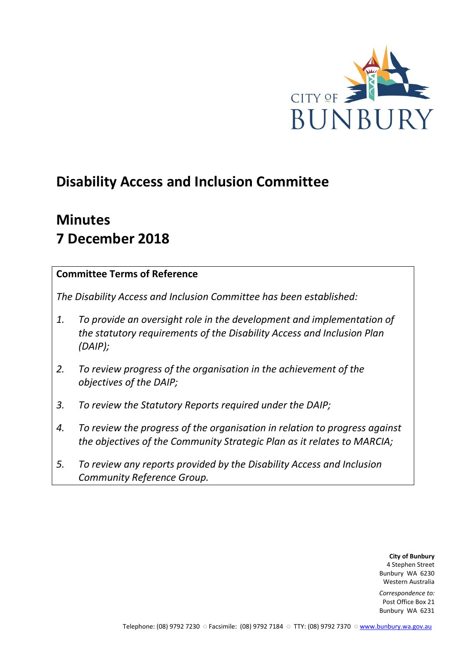

# **Disability Access and Inclusion Committee**

# **Minutes 7 December 2018**

## **Committee Terms of Reference**

*The Disability Access and Inclusion Committee has been established:* 

- *1. To provide an oversight role in the development and implementation of the statutory requirements of the Disability Access and Inclusion Plan (DAIP);*
- *2. To review progress of the organisation in the achievement of the objectives of the DAIP;*
- *3. To review the Statutory Reports required under the DAIP;*
- *4. To review the progress of the organisation in relation to progress against the objectives of the Community Strategic Plan as it relates to MARCIA;*
- *5. To review any reports provided by the Disability Access and Inclusion Community Reference Group.*

**City of Bunbury** 4 Stephen Street Bunbury WA 6230 Western Australia

*Correspondence to:* Post Office Box 21 Bunbury WA 6231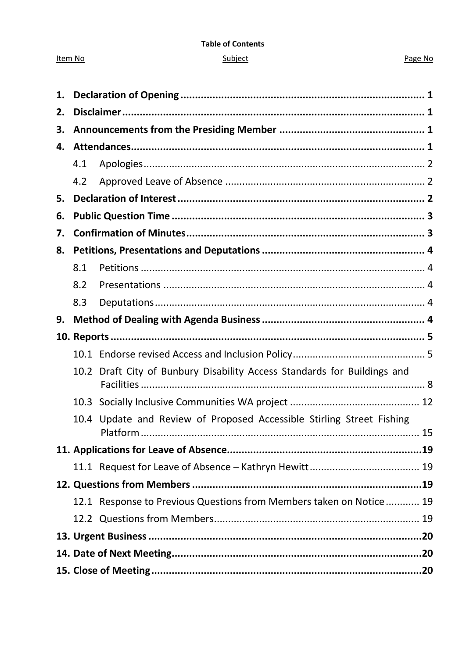#### **Table of Contents**

#### Subject

#### Page No

| 1. |      |                                                                     |  |
|----|------|---------------------------------------------------------------------|--|
| 2. |      |                                                                     |  |
| 3. |      |                                                                     |  |
| 4. |      |                                                                     |  |
|    | 4.1  |                                                                     |  |
|    | 4.2  |                                                                     |  |
| 5. |      |                                                                     |  |
| 6. |      |                                                                     |  |
| 7. |      |                                                                     |  |
| 8. |      |                                                                     |  |
|    | 8.1  |                                                                     |  |
|    | 8.2  |                                                                     |  |
|    | 8.3  |                                                                     |  |
| 9. |      |                                                                     |  |
|    |      |                                                                     |  |
|    |      |                                                                     |  |
|    | 10.2 | Draft City of Bunbury Disability Access Standards for Buildings and |  |
|    |      |                                                                     |  |
|    | 10.4 | Update and Review of Proposed Accessible Stirling Street Fishing    |  |
|    |      |                                                                     |  |
|    |      |                                                                     |  |
|    |      |                                                                     |  |
|    |      | 12.1 Response to Previous Questions from Members taken on Notice 19 |  |
|    |      |                                                                     |  |
|    |      |                                                                     |  |
|    |      |                                                                     |  |
|    |      |                                                                     |  |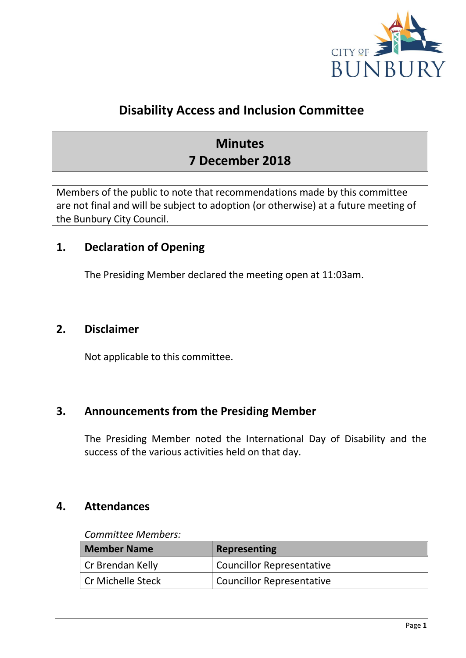

# **Disability Access and Inclusion Committee**

# **Minutes 7 December 2018**

Members of the public to note that recommendations made by this committee are not final and will be subject to adoption (or otherwise) at a future meeting of the Bunbury City Council.

# <span id="page-2-0"></span>**1. Declaration of Opening**

The Presiding Member declared the meeting open at 11:03am.

## <span id="page-2-1"></span>**2. Disclaimer**

Not applicable to this committee.

## <span id="page-2-2"></span>**3. Announcements from the Presiding Member**

The Presiding Member noted the International Day of Disability and the success of the various activities held on that day.

## <span id="page-2-3"></span>**4. Attendances**

*Committee Members:*

| <b>Member Name</b> | Representing                     |
|--------------------|----------------------------------|
| Cr Brendan Kelly   | Councillor Representative        |
| Cr Michelle Steck  | <b>Councillor Representative</b> |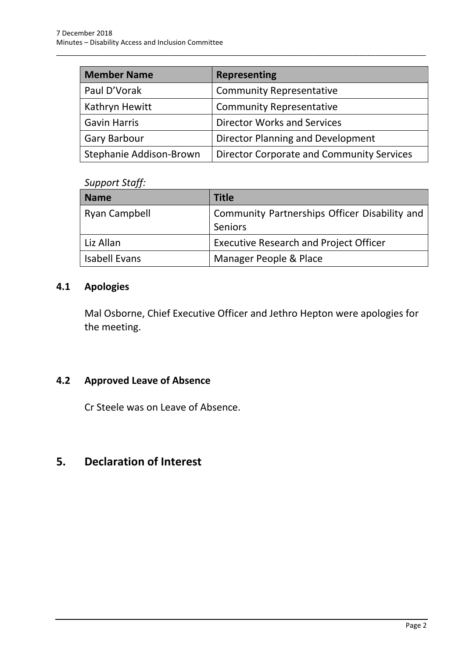| <b>Member Name</b>      | <b>Representing</b>                       |
|-------------------------|-------------------------------------------|
| Paul D'Vorak            | <b>Community Representative</b>           |
| Kathryn Hewitt          | <b>Community Representative</b>           |
| <b>Gavin Harris</b>     | <b>Director Works and Services</b>        |
| <b>Gary Barbour</b>     | Director Planning and Development         |
| Stephanie Addison-Brown | Director Corporate and Community Services |

\_\_\_\_\_\_\_\_\_\_\_\_\_\_\_\_\_\_\_\_\_\_\_\_\_\_\_\_\_\_\_\_\_\_\_\_\_\_\_\_\_\_\_\_\_\_\_\_\_\_\_\_\_\_\_\_\_\_\_\_\_\_\_\_\_\_\_\_\_\_\_\_\_\_\_\_\_\_\_\_\_\_\_\_\_\_\_\_\_\_\_\_\_\_\_

#### *Support Staff:*

| <b>Name</b>          | <b>Title</b>                                                    |
|----------------------|-----------------------------------------------------------------|
| Ryan Campbell        | Community Partnerships Officer Disability and<br><b>Seniors</b> |
| Liz Allan            | <b>Executive Research and Project Officer</b>                   |
| <b>Isabell Evans</b> | Manager People & Place                                          |

### <span id="page-3-0"></span>**4.1 Apologies**

Mal Osborne, Chief Executive Officer and Jethro Hepton were apologies for the meeting.

## <span id="page-3-1"></span>**4.2 Approved Leave of Absence**

Cr Steele was on Leave of Absence.

# <span id="page-3-2"></span>**5. Declaration of Interest**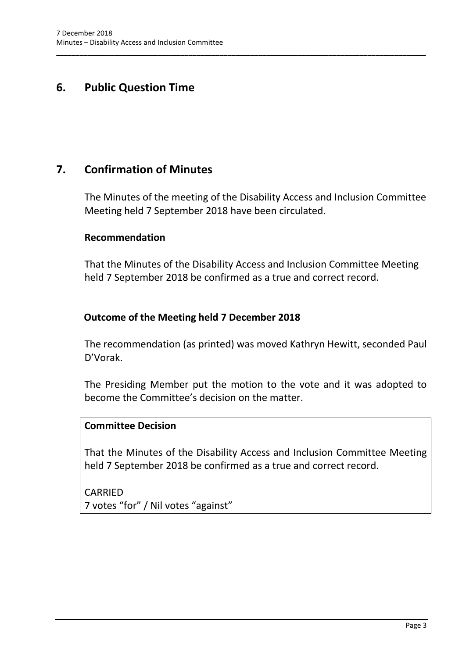# <span id="page-4-0"></span>**6. Public Question Time**

# <span id="page-4-1"></span>**7. Confirmation of Minutes**

The Minutes of the meeting of the Disability Access and Inclusion Committee Meeting held 7 September 2018 have been circulated.

\_\_\_\_\_\_\_\_\_\_\_\_\_\_\_\_\_\_\_\_\_\_\_\_\_\_\_\_\_\_\_\_\_\_\_\_\_\_\_\_\_\_\_\_\_\_\_\_\_\_\_\_\_\_\_\_\_\_\_\_\_\_\_\_\_\_\_\_\_\_\_\_\_\_\_\_\_\_\_\_\_\_\_\_\_\_\_\_\_\_\_\_\_\_\_

#### **Recommendation**

That the Minutes of the Disability Access and Inclusion Committee Meeting held 7 September 2018 be confirmed as a true and correct record.

## **Outcome of the Meeting held 7 December 2018**

The recommendation (as printed) was moved Kathryn Hewitt, seconded Paul D'Vorak.

The Presiding Member put the motion to the vote and it was adopted to become the Committee's decision on the matter.

### **Committee Decision**

That the Minutes of the Disability Access and Inclusion Committee Meeting held 7 September 2018 be confirmed as a true and correct record.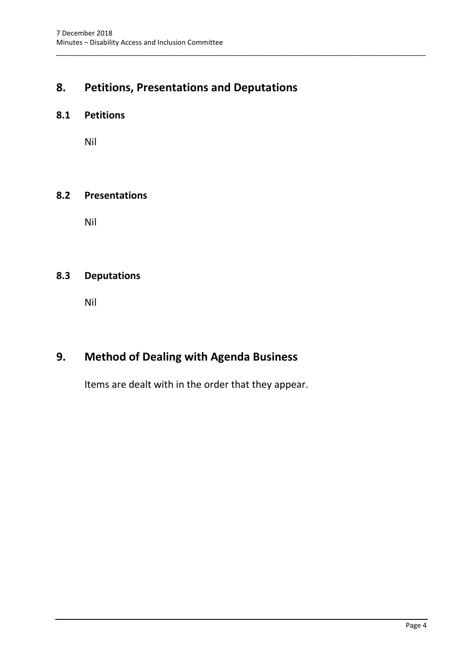# <span id="page-5-0"></span>**8. Petitions, Presentations and Deputations**

\_\_\_\_\_\_\_\_\_\_\_\_\_\_\_\_\_\_\_\_\_\_\_\_\_\_\_\_\_\_\_\_\_\_\_\_\_\_\_\_\_\_\_\_\_\_\_\_\_\_\_\_\_\_\_\_\_\_\_\_\_\_\_\_\_\_\_\_\_\_\_\_\_\_\_\_\_\_\_\_\_\_\_\_\_\_\_\_\_\_\_\_\_\_\_

#### <span id="page-5-1"></span>**8.1 Petitions**

Nil

#### <span id="page-5-2"></span>**8.2 Presentations**

Nil

## <span id="page-5-3"></span>**8.3 Deputations**

Nil

# <span id="page-5-4"></span>**9. Method of Dealing with Agenda Business**

Items are dealt with in the order that they appear.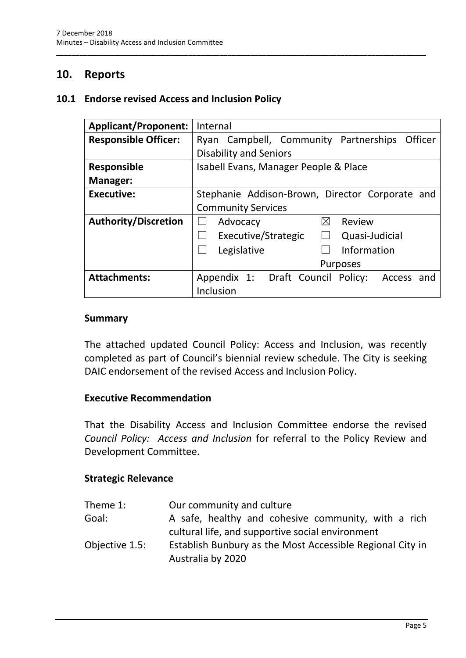## <span id="page-6-0"></span>**10. Reports**

#### <span id="page-6-1"></span>**10.1 Endorse revised Access and Inclusion Policy**

| <b>Applicant/Proponent:</b> | Internal                                              |
|-----------------------------|-------------------------------------------------------|
| <b>Responsible Officer:</b> | Ryan Campbell, Community Partnerships<br>Officer      |
|                             | <b>Disability and Seniors</b>                         |
| <b>Responsible</b>          | Isabell Evans, Manager People & Place                 |
| Manager:                    |                                                       |
| <b>Executive:</b>           | Stephanie Addison-Brown, Director Corporate and       |
|                             | <b>Community Services</b>                             |
| <b>Authority/Discretion</b> | $\boxtimes$<br>Review<br>Advocacy                     |
|                             | Executive/Strategic<br>Quasi-Judicial                 |
|                             | Information<br>Legislative                            |
|                             | <b>Purposes</b>                                       |
| <b>Attachments:</b>         | Draft Council Policy:<br>Appendix 1:<br>Access<br>and |
|                             | Inclusion                                             |

\_\_\_\_\_\_\_\_\_\_\_\_\_\_\_\_\_\_\_\_\_\_\_\_\_\_\_\_\_\_\_\_\_\_\_\_\_\_\_\_\_\_\_\_\_\_\_\_\_\_\_\_\_\_\_\_\_\_\_\_\_\_\_\_\_\_\_\_\_\_\_\_\_\_\_\_\_\_\_\_\_\_\_\_\_\_\_\_\_\_\_\_\_\_\_

#### **Summary**

The attached updated Council Policy: Access and Inclusion, was recently completed as part of Council's biennial review schedule. The City is seeking DAIC endorsement of the revised Access and Inclusion Policy.

#### **Executive Recommendation**

That the Disability Access and Inclusion Committee endorse the revised *Council Policy: Access and Inclusion* for referral to the Policy Review and Development Committee.

#### **Strategic Relevance**

| Theme 1:       | Our community and culture                                                      |
|----------------|--------------------------------------------------------------------------------|
| Goal:          | A safe, healthy and cohesive community, with a rich                            |
|                | cultural life, and supportive social environment                               |
| Objective 1.5: | Establish Bunbury as the Most Accessible Regional City in<br>Australia by 2020 |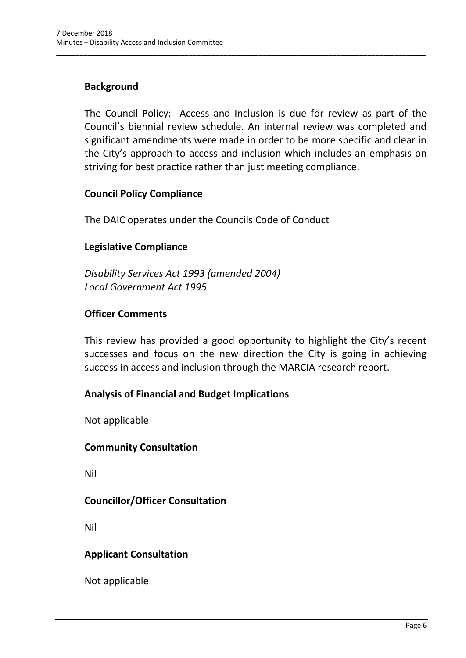## **Background**

The Council Policy: Access and Inclusion is due for review as part of the Council's biennial review schedule. An internal review was completed and significant amendments were made in order to be more specific and clear in the City's approach to access and inclusion which includes an emphasis on striving for best practice rather than just meeting compliance.

\_\_\_\_\_\_\_\_\_\_\_\_\_\_\_\_\_\_\_\_\_\_\_\_\_\_\_\_\_\_\_\_\_\_\_\_\_\_\_\_\_\_\_\_\_\_\_\_\_\_\_\_\_\_\_\_\_\_\_\_\_\_\_\_\_\_\_\_\_\_\_\_\_\_\_\_\_\_\_\_\_\_\_\_\_\_\_\_\_\_\_\_\_\_\_

#### **Council Policy Compliance**

The DAIC operates under the Councils Code of Conduct

#### **Legislative Compliance**

*Disability Services Act 1993 (amended 2004) Local Government Act 1995*

### **Officer Comments**

This review has provided a good opportunity to highlight the City's recent successes and focus on the new direction the City is going in achieving success in access and inclusion through the MARCIA research report.

### **Analysis of Financial and Budget Implications**

Not applicable

### **Community Consultation**

Nil

### **Councillor/Officer Consultation**

Nil

### **Applicant Consultation**

Not applicable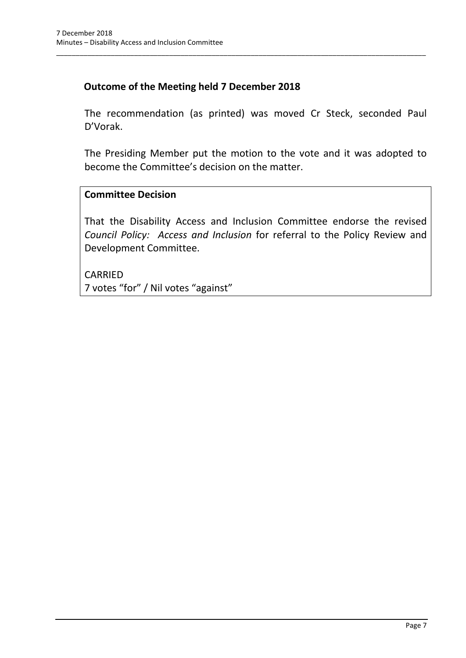## **Outcome of the Meeting held 7 December 2018**

The recommendation (as printed) was moved Cr Steck, seconded Paul D'Vorak.

\_\_\_\_\_\_\_\_\_\_\_\_\_\_\_\_\_\_\_\_\_\_\_\_\_\_\_\_\_\_\_\_\_\_\_\_\_\_\_\_\_\_\_\_\_\_\_\_\_\_\_\_\_\_\_\_\_\_\_\_\_\_\_\_\_\_\_\_\_\_\_\_\_\_\_\_\_\_\_\_\_\_\_\_\_\_\_\_\_\_\_\_\_\_\_

The Presiding Member put the motion to the vote and it was adopted to become the Committee's decision on the matter.

#### **Committee Decision**

That the Disability Access and Inclusion Committee endorse the revised *Council Policy: Access and Inclusion* for referral to the Policy Review and Development Committee.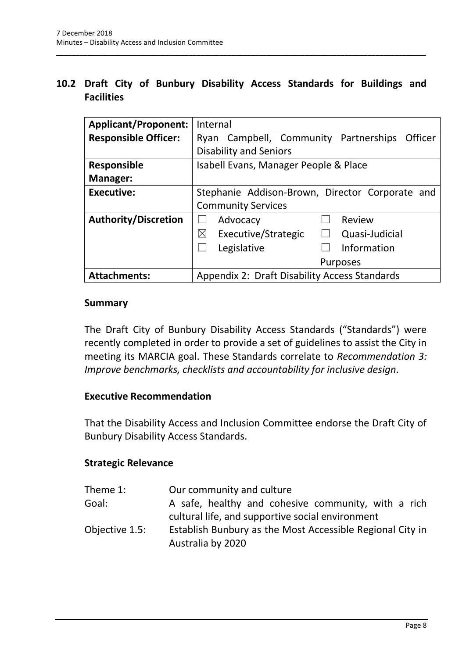## <span id="page-9-0"></span>**10.2 Draft City of Bunbury Disability Access Standards for Buildings and Facilities**

\_\_\_\_\_\_\_\_\_\_\_\_\_\_\_\_\_\_\_\_\_\_\_\_\_\_\_\_\_\_\_\_\_\_\_\_\_\_\_\_\_\_\_\_\_\_\_\_\_\_\_\_\_\_\_\_\_\_\_\_\_\_\_\_\_\_\_\_\_\_\_\_\_\_\_\_\_\_\_\_\_\_\_\_\_\_\_\_\_\_\_\_\_\_\_

| <b>Applicant/Proponent:</b> | Internal                                              |
|-----------------------------|-------------------------------------------------------|
| <b>Responsible Officer:</b> | Ryan Campbell, Community Partnerships<br>Officer      |
|                             | <b>Disability and Seniors</b>                         |
| <b>Responsible</b>          | Isabell Evans, Manager People & Place                 |
| Manager:                    |                                                       |
| <b>Executive:</b>           | Stephanie Addison-Brown, Director Corporate and       |
|                             | <b>Community Services</b>                             |
| <b>Authority/Discretion</b> | Review<br>Advocacy                                    |
|                             | ⊠<br>Executive/Strategic<br>Quasi-Judicial<br>$\perp$ |
|                             | Information<br>Legislative                            |
|                             | <b>Purposes</b>                                       |
| <b>Attachments:</b>         | Appendix 2: Draft Disability Access Standards         |

#### **Summary**

The Draft City of Bunbury Disability Access Standards ("Standards") were recently completed in order to provide a set of guidelines to assist the City in meeting its MARCIA goal. These Standards correlate to *Recommendation 3: Improve benchmarks, checklists and accountability for inclusive design*.

#### **Executive Recommendation**

That the Disability Access and Inclusion Committee endorse the Draft City of Bunbury Disability Access Standards.

### **Strategic Relevance**

| Theme 1:       | Our community and culture                                 |
|----------------|-----------------------------------------------------------|
| Goal:          | A safe, healthy and cohesive community, with a rich       |
|                | cultural life, and supportive social environment          |
| Objective 1.5: | Establish Bunbury as the Most Accessible Regional City in |
|                | Australia by 2020                                         |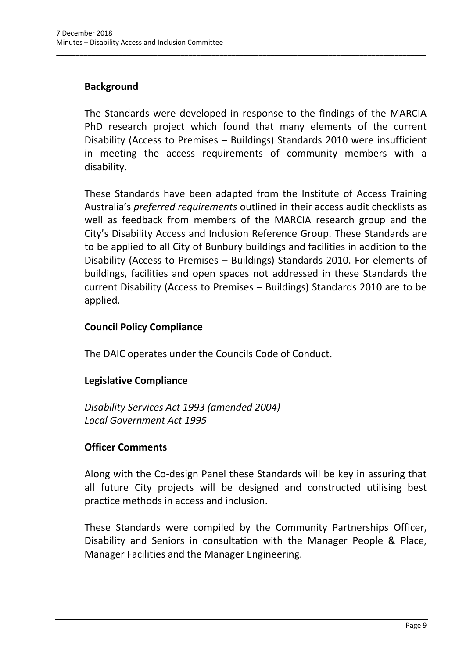## **Background**

The Standards were developed in response to the findings of the MARCIA PhD research project which found that many elements of the current Disability (Access to Premises – Buildings) Standards 2010 were insufficient in meeting the access requirements of community members with a disability.

\_\_\_\_\_\_\_\_\_\_\_\_\_\_\_\_\_\_\_\_\_\_\_\_\_\_\_\_\_\_\_\_\_\_\_\_\_\_\_\_\_\_\_\_\_\_\_\_\_\_\_\_\_\_\_\_\_\_\_\_\_\_\_\_\_\_\_\_\_\_\_\_\_\_\_\_\_\_\_\_\_\_\_\_\_\_\_\_\_\_\_\_\_\_\_

These Standards have been adapted from the Institute of Access Training Australia's *preferred requirements* outlined in their access audit checklists as well as feedback from members of the MARCIA research group and the City's Disability Access and Inclusion Reference Group. These Standards are to be applied to all City of Bunbury buildings and facilities in addition to the Disability (Access to Premises – Buildings) Standards 2010. For elements of buildings, facilities and open spaces not addressed in these Standards the current Disability (Access to Premises – Buildings) Standards 2010 are to be applied.

### **Council Policy Compliance**

The DAIC operates under the Councils Code of Conduct.

### **Legislative Compliance**

*Disability Services Act 1993 (amended 2004) Local Government Act 1995*

### **Officer Comments**

Along with the Co-design Panel these Standards will be key in assuring that all future City projects will be designed and constructed utilising best practice methods in access and inclusion.

These Standards were compiled by the Community Partnerships Officer, Disability and Seniors in consultation with the Manager People & Place, Manager Facilities and the Manager Engineering.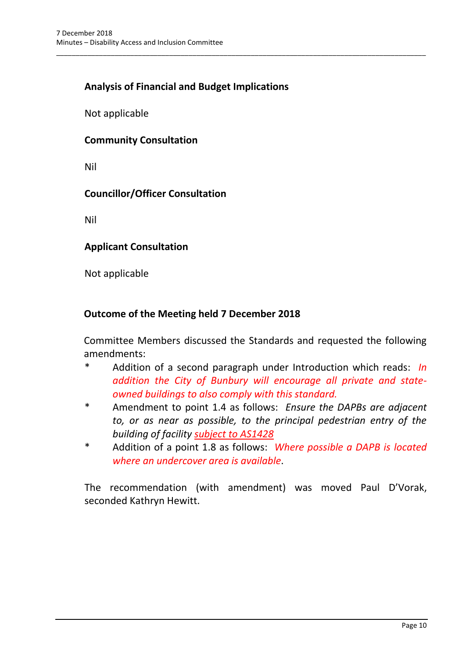## **Analysis of Financial and Budget Implications**

\_\_\_\_\_\_\_\_\_\_\_\_\_\_\_\_\_\_\_\_\_\_\_\_\_\_\_\_\_\_\_\_\_\_\_\_\_\_\_\_\_\_\_\_\_\_\_\_\_\_\_\_\_\_\_\_\_\_\_\_\_\_\_\_\_\_\_\_\_\_\_\_\_\_\_\_\_\_\_\_\_\_\_\_\_\_\_\_\_\_\_\_\_\_\_

Not applicable

#### **Community Consultation**

Nil

#### **Councillor/Officer Consultation**

Nil

#### **Applicant Consultation**

Not applicable

#### **Outcome of the Meeting held 7 December 2018**

Committee Members discussed the Standards and requested the following amendments:

- \* Addition of a second paragraph under Introduction which reads: *In addition the City of Bunbury will encourage all private and stateowned buildings to also comply with this standard.*
- \* Amendment to point 1.4 as follows: *Ensure the DAPBs are adjacent to, or as near as possible, to the principal pedestrian entry of the building of facility subject to AS1428*
- \* Addition of a point 1.8 as follows: *Where possible a DAPB is located where an undercover area is available*.

The recommendation (with amendment) was moved Paul D'Vorak, seconded Kathryn Hewitt.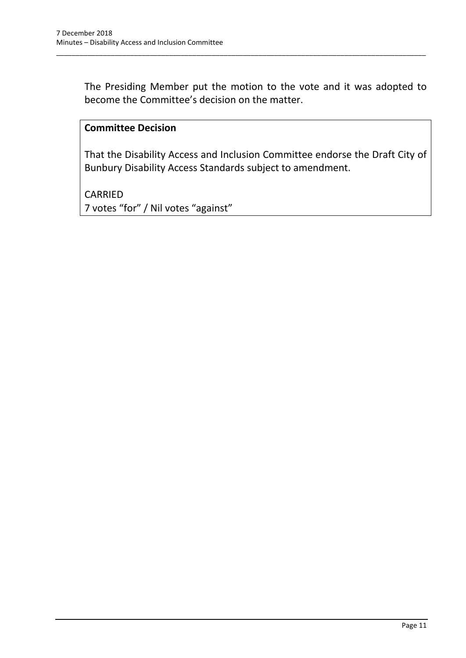The Presiding Member put the motion to the vote and it was adopted to become the Committee's decision on the matter.

\_\_\_\_\_\_\_\_\_\_\_\_\_\_\_\_\_\_\_\_\_\_\_\_\_\_\_\_\_\_\_\_\_\_\_\_\_\_\_\_\_\_\_\_\_\_\_\_\_\_\_\_\_\_\_\_\_\_\_\_\_\_\_\_\_\_\_\_\_\_\_\_\_\_\_\_\_\_\_\_\_\_\_\_\_\_\_\_\_\_\_\_\_\_\_

#### **Committee Decision**

That the Disability Access and Inclusion Committee endorse the Draft City of Bunbury Disability Access Standards subject to amendment.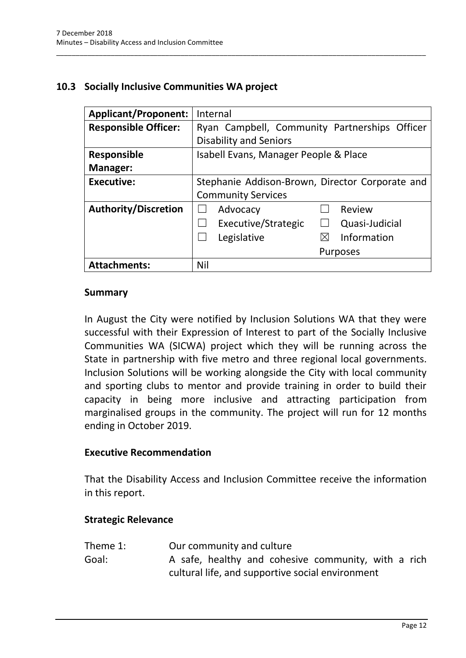### <span id="page-13-0"></span>**10.3 Socially Inclusive Communities WA project**

| <b>Applicant/Proponent:</b> | Internal                                        |
|-----------------------------|-------------------------------------------------|
| <b>Responsible Officer:</b> | Ryan Campbell, Community Partnerships Officer   |
|                             | <b>Disability and Seniors</b>                   |
| <b>Responsible</b>          | Isabell Evans, Manager People & Place           |
| <b>Manager:</b>             |                                                 |
| <b>Executive:</b>           | Stephanie Addison-Brown, Director Corporate and |
|                             | <b>Community Services</b>                       |
| <b>Authority/Discretion</b> | Advocacy<br>Review                              |
|                             | Executive/Strategic<br>Quasi-Judicial           |
|                             | Information<br>Legislative<br>$\boxtimes$       |
|                             | <b>Purposes</b>                                 |
| <b>Attachments:</b>         | Nil                                             |

\_\_\_\_\_\_\_\_\_\_\_\_\_\_\_\_\_\_\_\_\_\_\_\_\_\_\_\_\_\_\_\_\_\_\_\_\_\_\_\_\_\_\_\_\_\_\_\_\_\_\_\_\_\_\_\_\_\_\_\_\_\_\_\_\_\_\_\_\_\_\_\_\_\_\_\_\_\_\_\_\_\_\_\_\_\_\_\_\_\_\_\_\_\_\_

#### **Summary**

In August the City were notified by Inclusion Solutions WA that they were successful with their Expression of Interest to part of the Socially Inclusive Communities WA (SICWA) project which they will be running across the State in partnership with five metro and three regional local governments. Inclusion Solutions will be working alongside the City with local community and sporting clubs to mentor and provide training in order to build their capacity in being more inclusive and attracting participation from marginalised groups in the community. The project will run for 12 months ending in October 2019.

#### **Executive Recommendation**

That the Disability Access and Inclusion Committee receive the information in this report.

#### **Strategic Relevance**

| Theme 1: | Our community and culture                           |  |
|----------|-----------------------------------------------------|--|
| Goal:    | A safe, healthy and cohesive community, with a rich |  |
|          | cultural life, and supportive social environment    |  |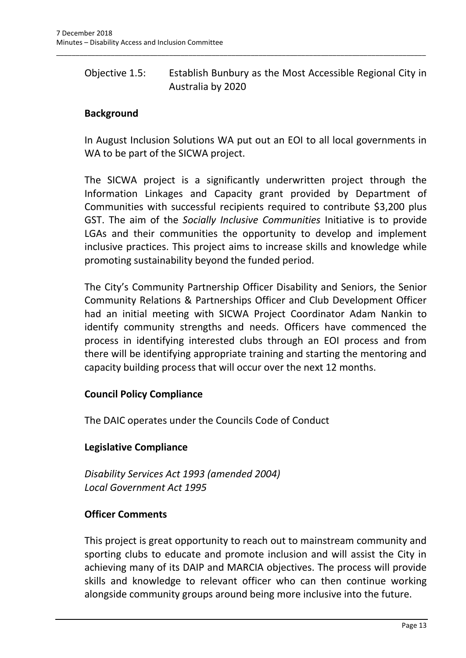## Objective 1.5: Establish Bunbury as the Most Accessible Regional City in Australia by 2020

\_\_\_\_\_\_\_\_\_\_\_\_\_\_\_\_\_\_\_\_\_\_\_\_\_\_\_\_\_\_\_\_\_\_\_\_\_\_\_\_\_\_\_\_\_\_\_\_\_\_\_\_\_\_\_\_\_\_\_\_\_\_\_\_\_\_\_\_\_\_\_\_\_\_\_\_\_\_\_\_\_\_\_\_\_\_\_\_\_\_\_\_\_\_\_

### **Background**

In August Inclusion Solutions WA put out an EOI to all local governments in WA to be part of the SICWA project.

The SICWA project is a significantly underwritten project through the Information Linkages and Capacity grant provided by Department of Communities with successful recipients required to contribute \$3,200 plus GST. The aim of the *Socially Inclusive Communities* Initiative is to provide LGAs and their communities the opportunity to develop and implement inclusive practices. This project aims to increase skills and knowledge while promoting sustainability beyond the funded period.

The City's Community Partnership Officer Disability and Seniors, the Senior Community Relations & Partnerships Officer and Club Development Officer had an initial meeting with SICWA Project Coordinator Adam Nankin to identify community strengths and needs. Officers have commenced the process in identifying interested clubs through an EOI process and from there will be identifying appropriate training and starting the mentoring and capacity building process that will occur over the next 12 months.

#### **Council Policy Compliance**

The DAIC operates under the Councils Code of Conduct

### **Legislative Compliance**

*Disability Services Act 1993 (amended 2004) Local Government Act 1995*

### **Officer Comments**

This project is great opportunity to reach out to mainstream community and sporting clubs to educate and promote inclusion and will assist the City in achieving many of its DAIP and MARCIA objectives. The process will provide skills and knowledge to relevant officer who can then continue working alongside community groups around being more inclusive into the future.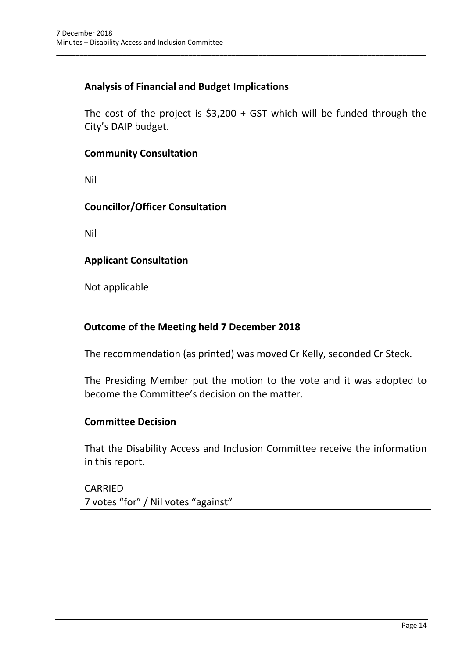## **Analysis of Financial and Budget Implications**

The cost of the project is \$3,200 + GST which will be funded through the City's DAIP budget.

\_\_\_\_\_\_\_\_\_\_\_\_\_\_\_\_\_\_\_\_\_\_\_\_\_\_\_\_\_\_\_\_\_\_\_\_\_\_\_\_\_\_\_\_\_\_\_\_\_\_\_\_\_\_\_\_\_\_\_\_\_\_\_\_\_\_\_\_\_\_\_\_\_\_\_\_\_\_\_\_\_\_\_\_\_\_\_\_\_\_\_\_\_\_\_

#### **Community Consultation**

Nil

#### **Councillor/Officer Consultation**

Nil

### **Applicant Consultation**

Not applicable

#### **Outcome of the Meeting held 7 December 2018**

The recommendation (as printed) was moved Cr Kelly, seconded Cr Steck.

The Presiding Member put the motion to the vote and it was adopted to become the Committee's decision on the matter.

#### **Committee Decision**

That the Disability Access and Inclusion Committee receive the information in this report.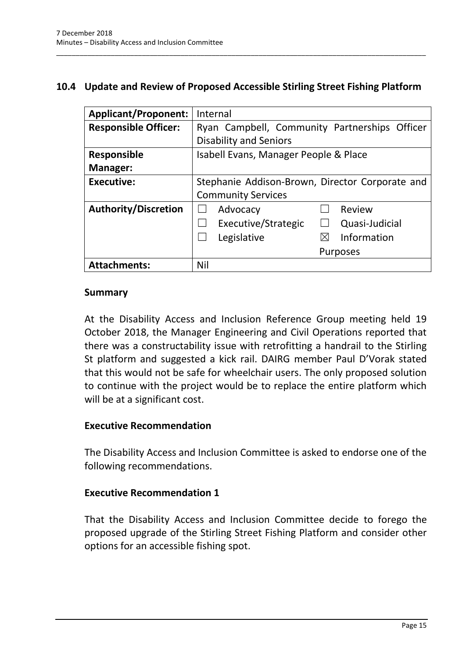## <span id="page-16-0"></span>**10.4 Update and Review of Proposed Accessible Stirling Street Fishing Platform**

\_\_\_\_\_\_\_\_\_\_\_\_\_\_\_\_\_\_\_\_\_\_\_\_\_\_\_\_\_\_\_\_\_\_\_\_\_\_\_\_\_\_\_\_\_\_\_\_\_\_\_\_\_\_\_\_\_\_\_\_\_\_\_\_\_\_\_\_\_\_\_\_\_\_\_\_\_\_\_\_\_\_\_\_\_\_\_\_\_\_\_\_\_\_\_

| <b>Applicant/Proponent:</b> | Internal                                        |
|-----------------------------|-------------------------------------------------|
| <b>Responsible Officer:</b> | Ryan Campbell, Community Partnerships Officer   |
|                             | <b>Disability and Seniors</b>                   |
| <b>Responsible</b>          | Isabell Evans, Manager People & Place           |
| Manager:                    |                                                 |
| <b>Executive:</b>           | Stephanie Addison-Brown, Director Corporate and |
|                             | <b>Community Services</b>                       |
| <b>Authority/Discretion</b> | Review<br>Advocacy                              |
|                             | Executive/Strategic<br>Quasi-Judicial           |
|                             | Information<br>Legislative<br>$\boxtimes$       |
|                             | Purposes                                        |
| <b>Attachments:</b>         | Nil                                             |

#### **Summary**

At the Disability Access and Inclusion Reference Group meeting held 19 October 2018, the Manager Engineering and Civil Operations reported that there was a constructability issue with retrofitting a handrail to the Stirling St platform and suggested a kick rail. DAIRG member Paul D'Vorak stated that this would not be safe for wheelchair users. The only proposed solution to continue with the project would be to replace the entire platform which will be at a significant cost.

#### **Executive Recommendation**

The Disability Access and Inclusion Committee is asked to endorse one of the following recommendations.

#### **Executive Recommendation 1**

That the Disability Access and Inclusion Committee decide to forego the proposed upgrade of the Stirling Street Fishing Platform and consider other options for an accessible fishing spot.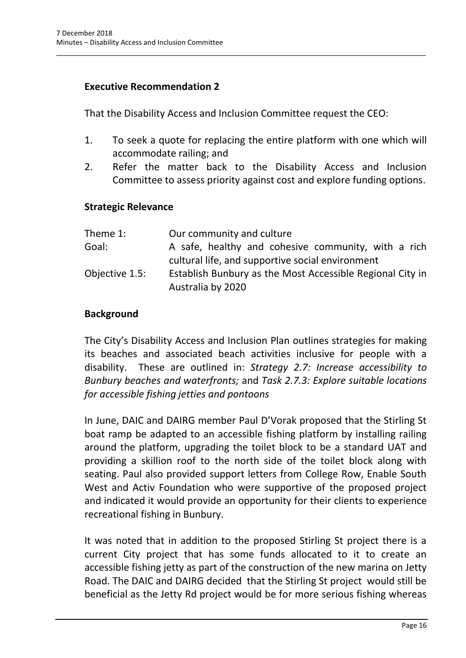### **Executive Recommendation 2**

That the Disability Access and Inclusion Committee request the CEO:

\_\_\_\_\_\_\_\_\_\_\_\_\_\_\_\_\_\_\_\_\_\_\_\_\_\_\_\_\_\_\_\_\_\_\_\_\_\_\_\_\_\_\_\_\_\_\_\_\_\_\_\_\_\_\_\_\_\_\_\_\_\_\_\_\_\_\_\_\_\_\_\_\_\_\_\_\_\_\_\_\_\_\_\_\_\_\_\_\_\_\_\_\_\_\_

- 1. To seek a quote for replacing the entire platform with one which will accommodate railing; and
- 2. Refer the matter back to the Disability Access and Inclusion Committee to assess priority against cost and explore funding options.

#### **Strategic Relevance**

| Theme 1:       | Our community and culture                                 |
|----------------|-----------------------------------------------------------|
| Goal:          | A safe, healthy and cohesive community, with a rich       |
|                | cultural life, and supportive social environment          |
| Objective 1.5: | Establish Bunbury as the Most Accessible Regional City in |
|                | Australia by 2020                                         |

#### **Background**

The City's Disability Access and Inclusion Plan outlines strategies for making its beaches and associated beach activities inclusive for people with a disability. These are outlined in: *Strategy 2.7: Increase accessibility to Bunbury beaches and waterfronts;* and *Task 2.7.3: Explore suitable locations for accessible fishing jetties and pontoons*

In June, DAIC and DAIRG member Paul D'Vorak proposed that the Stirling St boat ramp be adapted to an accessible fishing platform by installing railing around the platform, upgrading the toilet block to be a standard UAT and providing a skillion roof to the north side of the toilet block along with seating. Paul also provided support letters from College Row, Enable South West and Activ Foundation who were supportive of the proposed project and indicated it would provide an opportunity for their clients to experience recreational fishing in Bunbury.

It was noted that in addition to the proposed Stirling St project there is a current City project that has some funds allocated to it to create an accessible fishing jetty as part of the construction of the new marina on Jetty Road. The DAIC and DAIRG decided that the Stirling St project would still be beneficial as the Jetty Rd project would be for more serious fishing whereas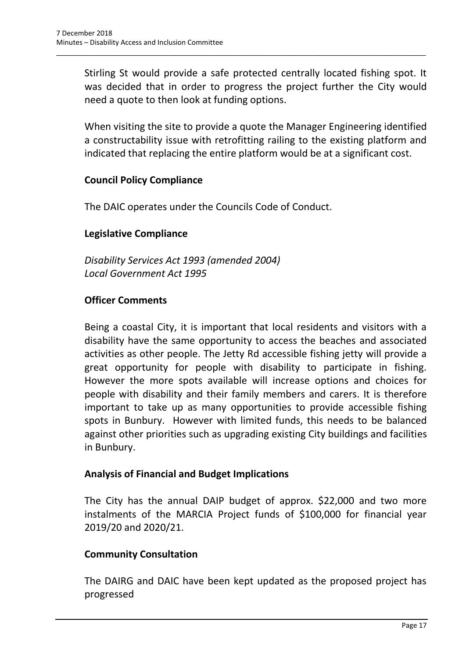Stirling St would provide a safe protected centrally located fishing spot. It was decided that in order to progress the project further the City would need a quote to then look at funding options.

\_\_\_\_\_\_\_\_\_\_\_\_\_\_\_\_\_\_\_\_\_\_\_\_\_\_\_\_\_\_\_\_\_\_\_\_\_\_\_\_\_\_\_\_\_\_\_\_\_\_\_\_\_\_\_\_\_\_\_\_\_\_\_\_\_\_\_\_\_\_\_\_\_\_\_\_\_\_\_\_\_\_\_\_\_\_\_\_\_\_\_\_\_\_\_

When visiting the site to provide a quote the Manager Engineering identified a constructability issue with retrofitting railing to the existing platform and indicated that replacing the entire platform would be at a significant cost.

### **Council Policy Compliance**

The DAIC operates under the Councils Code of Conduct.

#### **Legislative Compliance**

*Disability Services Act 1993 (amended 2004) Local Government Act 1995*

#### **Officer Comments**

Being a coastal City, it is important that local residents and visitors with a disability have the same opportunity to access the beaches and associated activities as other people. The Jetty Rd accessible fishing jetty will provide a great opportunity for people with disability to participate in fishing. However the more spots available will increase options and choices for people with disability and their family members and carers. It is therefore important to take up as many opportunities to provide accessible fishing spots in Bunbury. However with limited funds, this needs to be balanced against other priorities such as upgrading existing City buildings and facilities in Bunbury.

#### **Analysis of Financial and Budget Implications**

The City has the annual DAIP budget of approx. \$22,000 and two more instalments of the MARCIA Project funds of \$100,000 for financial year 2019/20 and 2020/21.

#### **Community Consultation**

The DAIRG and DAIC have been kept updated as the proposed project has progressed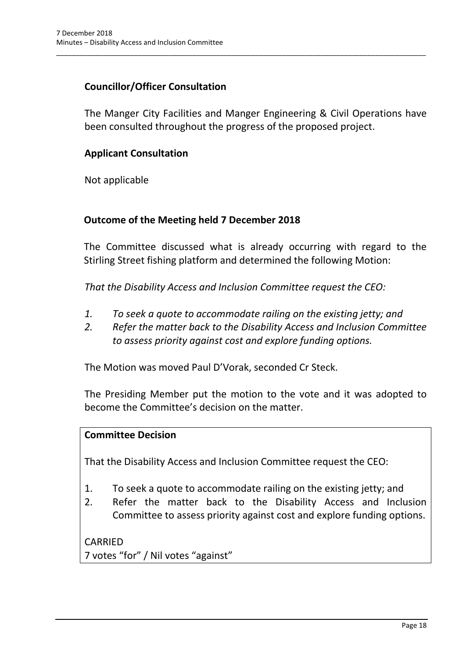## **Councillor/Officer Consultation**

The Manger City Facilities and Manger Engineering & Civil Operations have been consulted throughout the progress of the proposed project.

\_\_\_\_\_\_\_\_\_\_\_\_\_\_\_\_\_\_\_\_\_\_\_\_\_\_\_\_\_\_\_\_\_\_\_\_\_\_\_\_\_\_\_\_\_\_\_\_\_\_\_\_\_\_\_\_\_\_\_\_\_\_\_\_\_\_\_\_\_\_\_\_\_\_\_\_\_\_\_\_\_\_\_\_\_\_\_\_\_\_\_\_\_\_\_

### **Applicant Consultation**

Not applicable

#### **Outcome of the Meeting held 7 December 2018**

The Committee discussed what is already occurring with regard to the Stirling Street fishing platform and determined the following Motion:

*That the Disability Access and Inclusion Committee request the CEO:*

- *1. To seek a quote to accommodate railing on the existing jetty; and*
- *2. Refer the matter back to the Disability Access and Inclusion Committee to assess priority against cost and explore funding options.*

The Motion was moved Paul D'Vorak, seconded Cr Steck.

The Presiding Member put the motion to the vote and it was adopted to become the Committee's decision on the matter.

#### **Committee Decision**

That the Disability Access and Inclusion Committee request the CEO:

- 1. To seek a quote to accommodate railing on the existing jetty; and
- 2. Refer the matter back to the Disability Access and Inclusion Committee to assess priority against cost and explore funding options.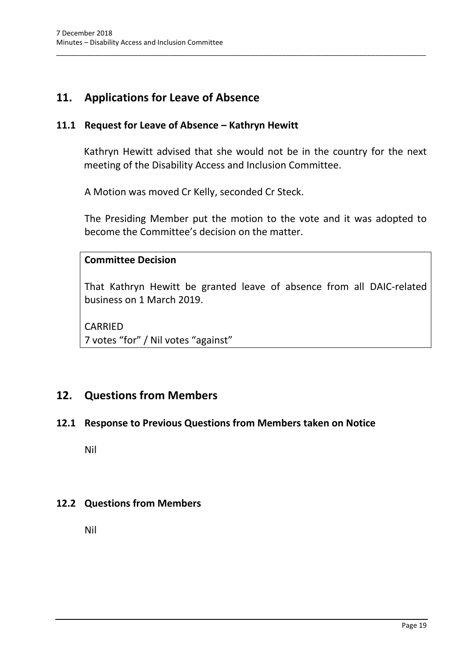# <span id="page-20-0"></span>**11. Applications for Leave of Absence**

#### <span id="page-20-1"></span>**11.1 Request for Leave of Absence – Kathryn Hewitt**

Kathryn Hewitt advised that she would not be in the country for the next meeting of the Disability Access and Inclusion Committee.

\_\_\_\_\_\_\_\_\_\_\_\_\_\_\_\_\_\_\_\_\_\_\_\_\_\_\_\_\_\_\_\_\_\_\_\_\_\_\_\_\_\_\_\_\_\_\_\_\_\_\_\_\_\_\_\_\_\_\_\_\_\_\_\_\_\_\_\_\_\_\_\_\_\_\_\_\_\_\_\_\_\_\_\_\_\_\_\_\_\_\_\_\_\_\_

A Motion was moved Cr Kelly, seconded Cr Steck.

The Presiding Member put the motion to the vote and it was adopted to become the Committee's decision on the matter.

#### **Committee Decision**

That Kathryn Hewitt be granted leave of absence from all DAIC-related business on 1 March 2019.

CARRIED 7 votes "for" / Nil votes "against"

## <span id="page-20-2"></span>**12. Questions from Members**

#### <span id="page-20-3"></span>**12.1 Response to Previous Questions from Members taken on Notice**

Nil

### <span id="page-20-4"></span>**12.2 Questions from Members**

Nil